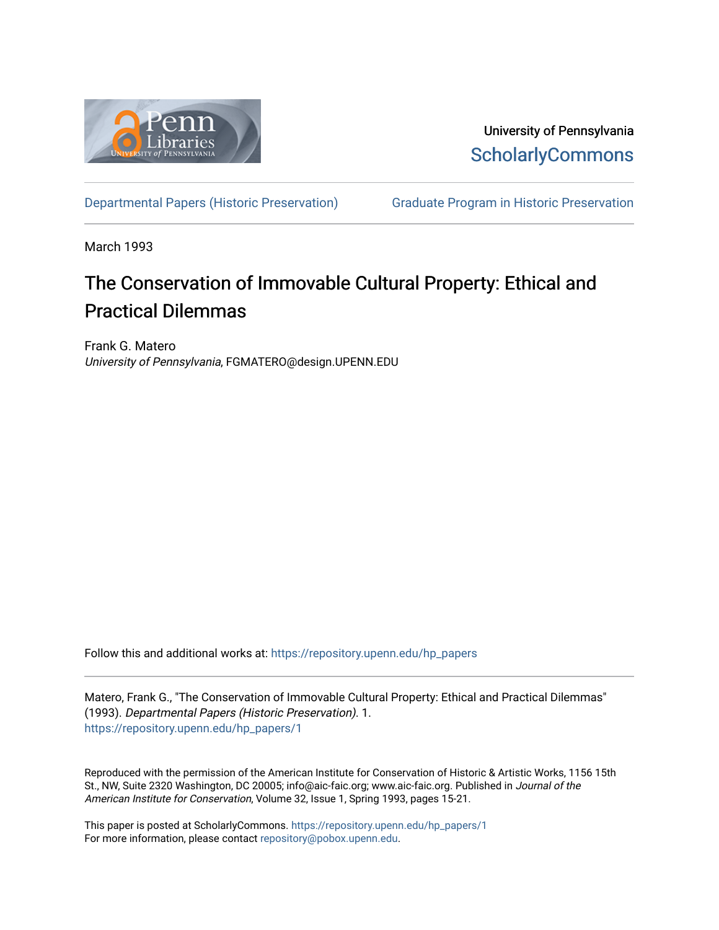

University of Pennsylvania **ScholarlyCommons** 

[Departmental Papers \(Historic Preservation\)](https://repository.upenn.edu/hp_papers) [Graduate Program in Historic Preservation](https://repository.upenn.edu/hist_pres) 

March 1993

# The Conservation of Immovable Cultural Property: Ethical and Practical Dilemmas

Frank G. Matero University of Pennsylvania, FGMATERO@design.UPENN.EDU

Follow this and additional works at: [https://repository.upenn.edu/hp\\_papers](https://repository.upenn.edu/hp_papers?utm_source=repository.upenn.edu%2Fhp_papers%2F1&utm_medium=PDF&utm_campaign=PDFCoverPages) 

Matero, Frank G., "The Conservation of Immovable Cultural Property: Ethical and Practical Dilemmas" (1993). Departmental Papers (Historic Preservation). 1. [https://repository.upenn.edu/hp\\_papers/1](https://repository.upenn.edu/hp_papers/1?utm_source=repository.upenn.edu%2Fhp_papers%2F1&utm_medium=PDF&utm_campaign=PDFCoverPages) 

Reproduced with the permission of the American Institute for Conservation of Historic & Artistic Works, 1156 15th St., NW, Suite 2320 Washington, DC 20005; info@aic-faic.org; www.aic-faic.org. Published in Journal of the American Institute for Conservation, Volume 32, Issue 1, Spring 1993, pages 15-21.

This paper is posted at ScholarlyCommons. [https://repository.upenn.edu/hp\\_papers/1](https://repository.upenn.edu/hp_papers/1) For more information, please contact [repository@pobox.upenn.edu.](mailto:repository@pobox.upenn.edu)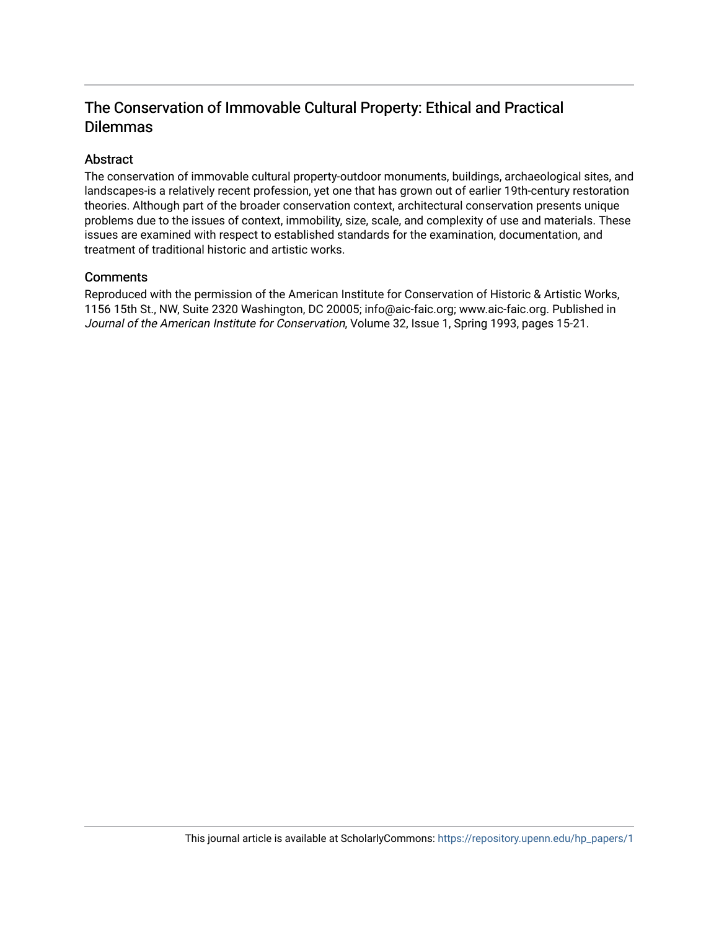# The Conservation of Immovable Cultural Property: Ethical and Practical Dilemmas

## Abstract

The conservation of immovable cultural property-outdoor monuments, buildings, archaeological sites, and landscapes-is a relatively recent profession, yet one that has grown out of earlier 19th-century restoration theories. Although part of the broader conservation context, architectural conservation presents unique problems due to the issues of context, immobility, size, scale, and complexity of use and materials. These issues are examined with respect to established standards for the examination, documentation, and treatment of traditional historic and artistic works.

#### **Comments**

Reproduced with the permission of the American Institute for Conservation of Historic & Artistic Works, 1156 15th St., NW, Suite 2320 Washington, DC 20005; info@aic-faic.org; www.aic-faic.org. Published in Journal of the American Institute for Conservation, Volume 32, Issue 1, Spring 1993, pages 15-21.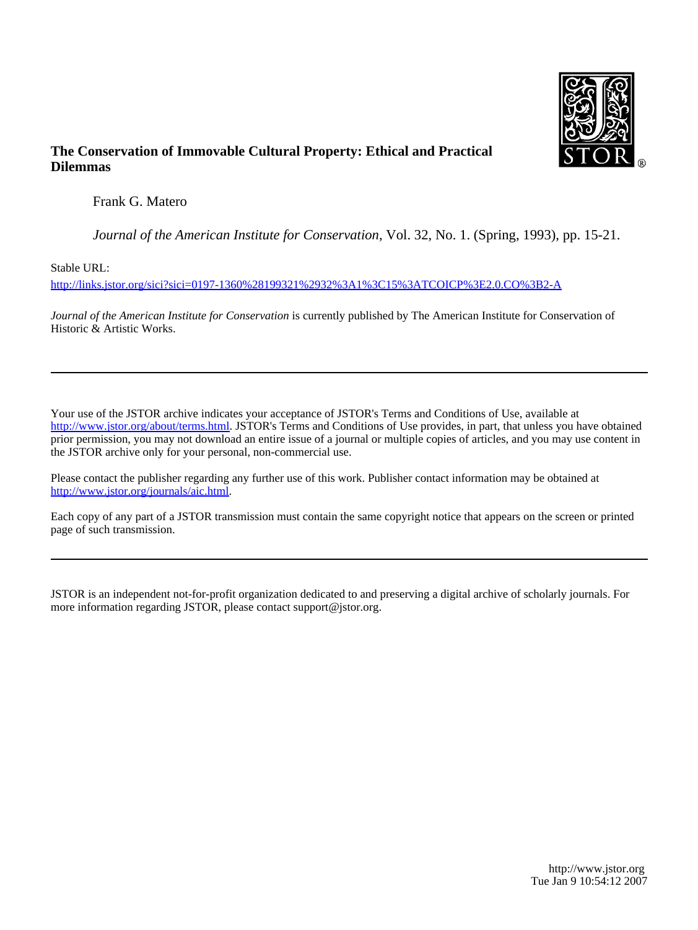

## **The Conservation of Immovable Cultural Property: Ethical and Practical Dilemmas**

Frank G. Matero

## *Journal of the American Institute for Conservation*, Vol. 32, No. 1. (Spring, 1993), pp. 15-21.

Stable URL:

<http://links.jstor.org/sici?sici=0197-1360%28199321%2932%3A1%3C15%3ATCOICP%3E2.0.CO%3B2-A>

*Journal of the American Institute for Conservation* is currently published by The American Institute for Conservation of Historic & Artistic Works.

Your use of the JSTOR archive indicates your acceptance of JSTOR's Terms and Conditions of Use, available at [http://www.jstor.org/about/terms.html.](http://www.jstor.org/about/terms.html) JSTOR's Terms and Conditions of Use provides, in part, that unless you have obtained prior permission, you may not download an entire issue of a journal or multiple copies of articles, and you may use content in the JSTOR archive only for your personal, non-commercial use.

Please contact the publisher regarding any further use of this work. Publisher contact information may be obtained at <http://www.jstor.org/journals/aic.html>.

Each copy of any part of a JSTOR transmission must contain the same copyright notice that appears on the screen or printed page of such transmission.

JSTOR is an independent not-for-profit organization dedicated to and preserving a digital archive of scholarly journals. For more information regarding JSTOR, please contact support@jstor.org.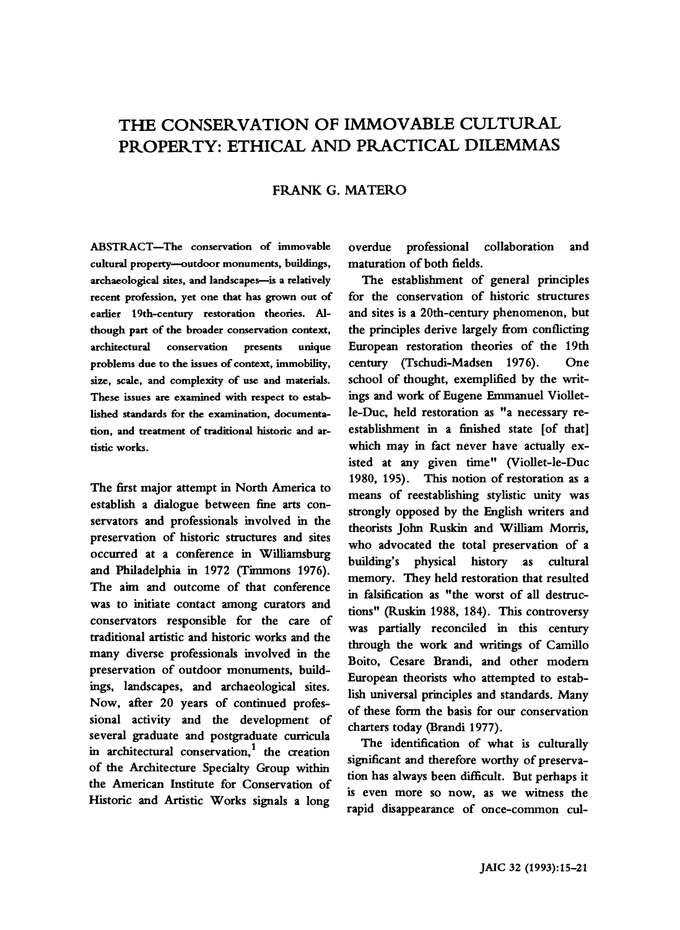## THE CONSERVATION OF IMMOVABLE CULTURAL PROPERTY: ETHICAL AND PRACTICAL DILEMMAS

#### FRANK G. MATERO

ABSTRACT-The conservation of immovable cultural property-outdoor monuments, buildings, archaeological sites, and landscapes-is a relatively recent profession, yet one that has grown out of earlier 19th-century restoration theories. Although part of the broader conservation context, architectural conservation presents unique problems due to the issues of context, immobility, size, scale, and complexity of use and materials. These issues are examined with respect to established standards for the examination, documentation, and treatment of traditional historic and artistic works.

The first major attempt in North America to establish a dialogue between fine arts conservators and professionals involved in the preservation of historic structures and sites occurred at a conference in Williamsburg and Philadelphia in 1972 (Timmons 1976). The aim and outcome of that conference was to initiate contact among curators and conservators responsible for the care of traditional artistic and historic works and the many diverse professionals involved in the preservation of outdoor monwnents, buildings, landscapes, and archaeological sites. Now, after 20 years of continued professional activity and the development of several graduate and postgraduate curricula in architectural conservation,<sup>1</sup> the creation of the Architecture Specialty Group within the American Institute for Conservation of Historic and Artistic Works signals a long

overdue professional collaboration and maturation of both fields.

The establishment of general principles for the conservation of historic structures and sites is a 20th-century phenomenon, but the principles derive largely from conflicting European restoration theories of the 19th century (Tschudi-Madsen 1976). One school of thought, exemplified by the writings and work of Eugene Emmanuel Violletle-Duc, held restoration as "a necessary reestablishment in a finished state [of that] which may in fact never have actually existed at any given time" (Viollet-Ie-Duc 1980, 195). This notion of restoration as a means of reestablishing stylistic unity was strongly opposed by the English writers and theorists John Ruskin and William Morris, who advocated the total preservation of a building's physical history as cultural memory. They held restoration that resulted in falsification as "the worst of all destructions" (Ruskin 1988, 184). This controversy was partially reconciled in this century through the work and writings of Camillo Boito, Cesare Brandi, and other modem European theorists who attempted to establish universal principles and standards. Many of these fonn the basis for our conservation charters today (Brandi 1977).

The identification of what is culturally significant and therefore worthy of preservation has always been difficult. But perhaps it is even more so now, as we witness the rapid disappearance of once-common cul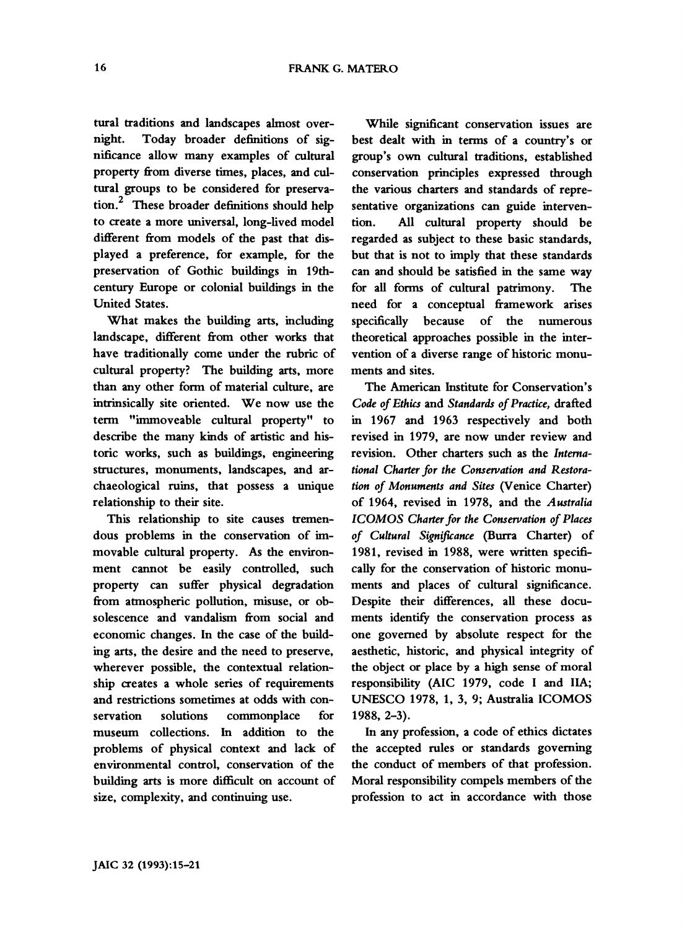tural traditions and landscapes almost overnight. Today broader definitions of significance allow many examples of cultural property from diverse times, places, and cultural groups to be considered for preserva- $\frac{1}{2}$  These broader definitions should help to create a more universal, long-lived model different from models of the past that displayed a preference, for example, for the preservation of Gothic buildings in 19thcentury Europe or colonial buildings in the United States.

What makes the building arts, including landscape, different from other works that have traditionally come under the rubric of cultural property? The building arts, more than any other form of material culture, are intrinsically site oriented. We now use the term "immoveable cultural property" to describe the many kinds of artistic and historic works, such as buildings, engineering structures, monuments, landscapes, and archaeological ruins, that possess a unique relationship to their site.

This relationship to site causes tremendous problems in the conservation of immovable cultural property. As the environment cannot be easily controlled, such property can suffer physical degradation from atmospheric pollution, misuse, or obsolescence and vandalism from social and economic changes. In the case of the building arts, the desire and the need to preserve, wherever possible, the contextual relationship creates a whole series of requirements and restrictions sometimes at odds with conservation solutions commonplace for museum collections. In addition to the problems of physical context and lack of enviromnental control, conservation of the building arts is more difficult on account of size, complexity, and continuing use.

While significant conservation issues are best dealt with in terms of a country's or group's own cultural traditions, established conservation principles expressed through the various charters and standards of representative organizations can guide intervention. All cultural property should be regarded as subject to these basic standards, but that is not to imply that these standards can and should be satisfied in the same way for all fonns of cultural patrimony. The need for a conceptual framework arises specifically because of the numerous theoretical approaches possible in the intervention of a diverse range of historic monuments and sites.

The American Institute for Conservation's *Code of Ethics* and *Standards of Practice*, drafted in 1967 and 1963 respectively and both revised in 1979, are now under review and revision. Other charters such as the *International Charter for the Conservation and Restoration of Monuments and Sites* (Venice Charter) of 1964, revised in 1978, and the *Australia ICOMOS Charterfor the Conservation* of *Places of Cultural SignifICance* (Burra Charter) of 1981, revised in 1988, were written specifically for the conservation of historic monuments and places of cultural significance. Despite their differences, all these documents identify the conservation process as one governed by absolute respect for the aesthetic, historic, and physical integrity of the object or place by a high sense of moral responsibility (AIC 1979, code I and lIA; UNESCO 1978, 1, 3, 9; Australia ICOMOS 1988, 2-3).

In any profession, a code of ethics dictates the accepted rules or standards governing the conduct of members of that profession. Moral responsibility compels members of the profession to act in accordance with those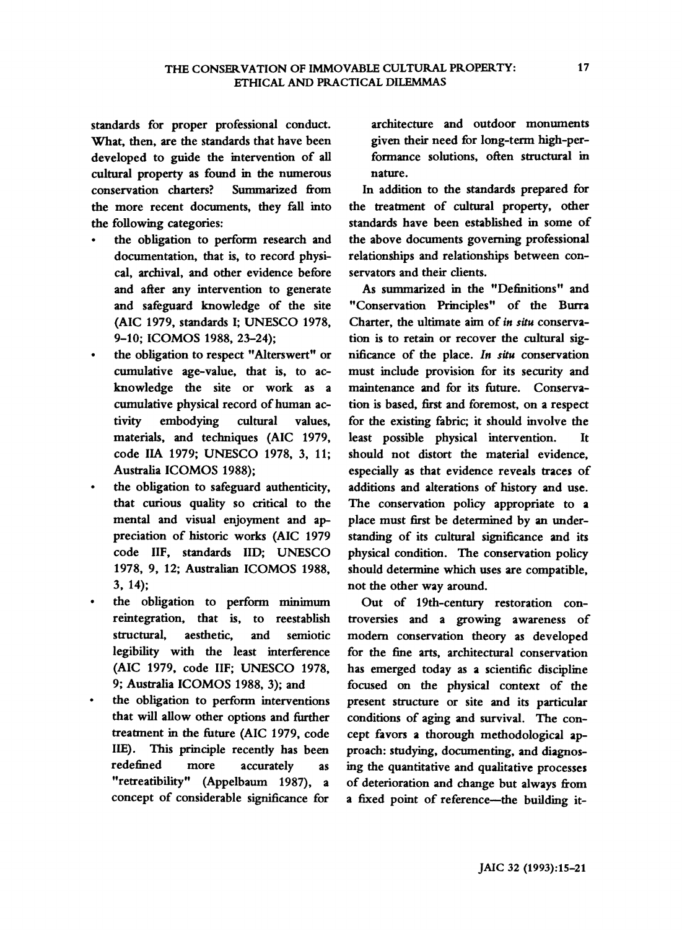standards for proper professional conduct. What, then, are the standards that have been developed to guide the intervention of all cultural property as found in the numerous conservation charters? Summarized from the more recent documents, they fall into the following categories:

- the obligation to perform research and documentation, that is, to record physical, archival, and other evidence before and after any intervention to generate and safeguard knowledge of the site (AIC 1979, standards I; UNESCO 1978, 9-10; ICOMOS 1988, 23-24);
- the obligation to respect "Alterswert" or cumulative age-value, that is, to acknowledge the site or work as a cumulative physical record of human activity embodying cultural values, materials, and techniques (AIC 1979, code lIA 1979; UNESCO 1978, 3, 11; Australia ICOMOS 1988);
- the obligation to safeguard authenticity, that curious quality so critical to the mental and visual enjoyment and appreciation of historic works (AIC 1979 code IIF, standards lID; UNESCO 1978, 9, 12; Australian ICOMOS 1988, 3, 14);
- the obligation to perform minimum reintegration, that is, to reestablish structural, aesthetic, and semiotic legibility with the least interference (AIC 1979, code IIF; UNESCO 1978, 9; Australia ICOMOS 1988, 3); and
- the obligation to perform interventions that will allow other options and further treatment in the future (AIC 1979, code lIE). This principle recently has been redefined more accurately as "retreatibility" (Appelbaum 1987), a concept of considerable significance for

architecture and outdoor monuments given their need for long-term high-perfonnance solutions, often structural in nature.

In addition to the standards prepared for the treatment of cultural property, other standards have been established in some of the above documents governing professional relationships and relationships between conservators and their clients.

As summarized in the "Definitions" and "Conservation Principles" of the Burra Charter, the ultimate aim of*in situ* conservation is to retain or recover the cultural significance of the place. *In situ* conservation must include provision for its security and maintenance and for its future. Conservation is based, first and foremost, on a respect for the existing fabric; it should involve the least possible physical intervention. should not distort the material evidence, especially as that evidence reveals traces of additions and alterations of history and use. The conservation policy appropriate to a place must first be determined by an understanding of its cultural significance and its physical condition. The conservation policy should determine which uses are compatible, not the other way around.

Out of 19th-century restoration controversies and a growing awareness of modem conservation theory as developed for the fine arts, architectural conservation has emerged today as a scientific discipline focused on the physical context of the present structure or site and its particular conditions of aging and survival. The concept favors a thorough methodological approach: studying, documenting, and diagnosing the quantitative and qualitative processes of deterioration and change but always from a fixed point of reference-the building it-

17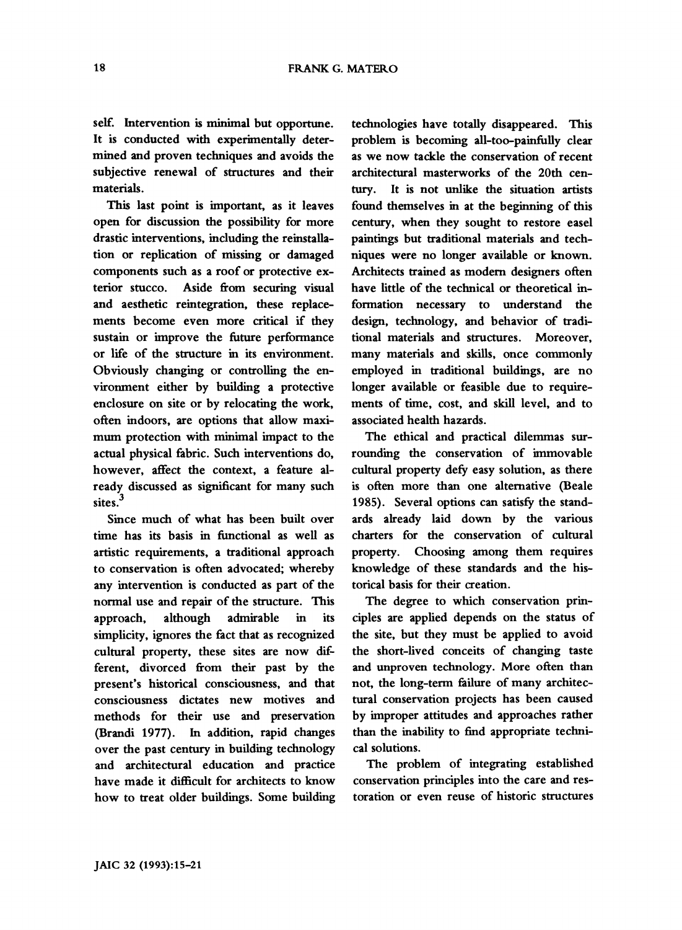self. Intervention is minimal but opportune. It is conducted with experimentally determined and proven techniques and avoids the subjective renewal of structures and their materials.

This last point is important, as it leaves open for discussion the possibility for more drastic interventions, including the reinstallation or replication of missing or damaged components such as a roof or protective exterior stucco. Aside from securing visual and aesthetic reintegration, these replacements become even more critical if they sustain or improve the future performance or life of the structure in its environment. Obviously changing or controlling the environment either by building a protective enclosure on site or by relocating the work, often indoors, are options that allow maximum protection with minimal impact to the actual physical fabric. Such interventions do, however, affect the context, a feature already discussed as significant for many such sites.<sup>3</sup>

Since much of what has been built over time has its basis in functional as well as artistic requirements, a traditional approach to conservation is often advocated; whereby any intervention is conducted as part of the normal use and repair of the structure. This approach, although admirable in its simplicity, ignores the fact that as recognized cultural property, these sites are now different, divorced from their past by the present's historical consciousness, and that consciousness dictates new motives and methods for their use and preservation (Brandi 1977). In addition, rapid changes over the past century in building technology and architectural education and practice have made it difficult for architects to know how to treat older buildings. Some building technologies have totally disappeared. This problem is becoming all-too-painfully clear as we now tackle the conservation of recent architectural masterworks of the 20th century. It is not unlike the situation artists found themselves in at the beginning of this century, when they sought to restore easel paintings but traditional materials and techniques were no longer available or known. Architects trained as modem designers often have little of the technical or theoretical infonnation necessary to understand the design, technology, and behavior of traditional materials and structures. Moreover, many materials and skills, once commonly employed in traditional buildings, are no longer available or feasible due to requirements of time, cost, and skill level, and to associated health hazards.

The ethical and practical dilemmas surrounding the conservation of immovable cultural property defy easy solution, as there is often more than one alternative (Beale 1985). Several options can satisfy the standards already laid down by the various charters for the conservation of cultural property. Choosing among them requires knowledge of these standards and the historical basis for their creation.

The degree to which conservation principles are applied depends on the status of the site, but they must be applied to avoid the short-lived conceits of changing taste and unproven technology. More often than not, the long-tenn failure of many architectural conservation projects has been caused by improper attitudes and approaches rather than the inability to find appropriate technical solutions.

The problem of integrating established conservation principles into the care and restoration or even reuse of historic structures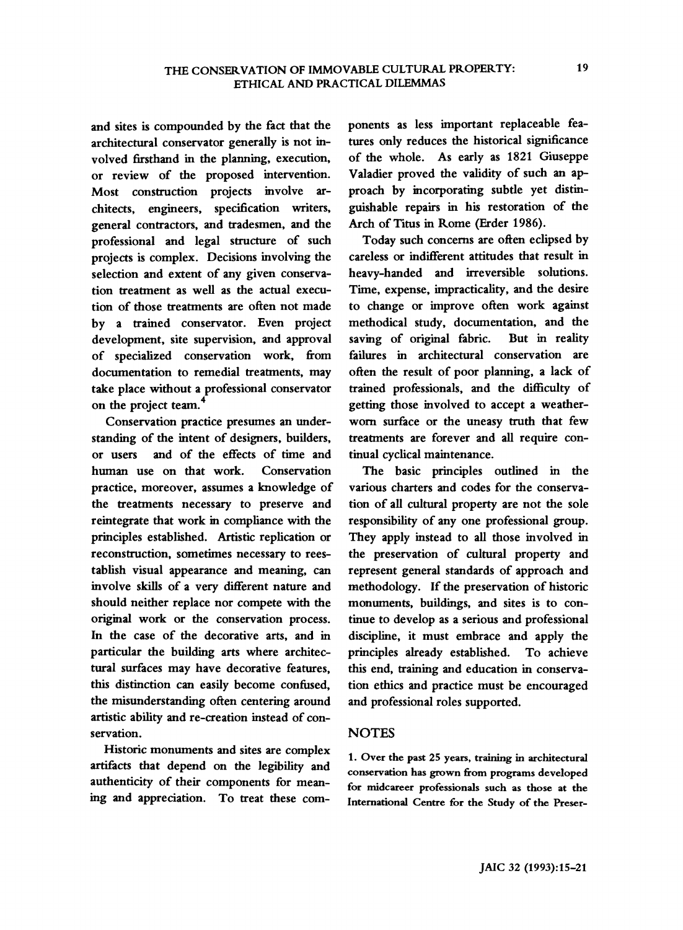and sites is compounded by the fact that the architectural conservator generally is not involved firsthand in the planning, execution, or review of the proposed intervention. Most construction projects involve architects, engineers, specification writers, general contractors, and tradesmen, and the professional and legal structure of such projects is complex. Decisions involving the selection and extent of any given conservation treatment as well as the actual execution of those treatments are often not made by a trained conservator. Even project development, site supervision, and approval of specialized conservation work, from documentation to remedial treatments, may take place without a professional conservator on the project team. $4$ 

Conservation practice presumes an understanding of the intent of designers, builders, or users and of the effects of time and human use on that work. Conservation practice, moreover, assumes a knowledge of the treatments necessary to preserve and reintegrate that work in compliance with the principles established. Artistic replication or reconstruction, sometimes necessary to reestablish visual appearance and meaning, can involve skills of a very different nature and should neither replace nor compete with the original work or the conservation process. In the case of the decorative arts, and in particular the building arts where architectural surfaces may have decorative features, this distinction can easily become confused, the misunderstanding often centering around artistic ability and re-creation instead of conservation.

Historic monuments and sites are complex artifacts that depend on the legibility and authenticity of their components for meaning and appreciation. To treat these components as less important replaceable features only reduces the historical significance of the whole. As early as 1821 Giuseppe Valadier proved the validity of such an approach by incorporating subtle yet distinguishable repairs in his restoration of the Arch of Titus in Rome (Erder 1986).

Today such concerns are often eclipsed by careless or indifferent attitudes that result in heavy-handed and irreversible solutions. Time, expense, impracticality, and the desire to change or improve often work against methodical study, documentation, and the saving of original fabric. But in reality failures in architectural conservation are often the result of poor planning, a lack of trained professionals, and the difficulty of getting those involved to accept a weatherworn surface or the uneasy truth that few treatments are forever and all require continual cyclical maintenance.

The basic principles outlined in the various charters and codes for the conservation of all cultural property are not the sole responsibility of any one professional group. They apply instead to all those involved in the preservation of cultural property and represent general standards of approach and methodology. If the preservation of historic monuments, buildings, and sites is to continue to develop as a serious and professional discipline, it must embrace and apply the principles already established. To achieve this end, training and education in conservation ethics and practice must be encouraged and professional roles supported.

#### **NOTES**

1. Over the past 25 years, training in architectural conservation has grown from programs developed for midcareer professionals such as those at the International Centre for the Study of the Preser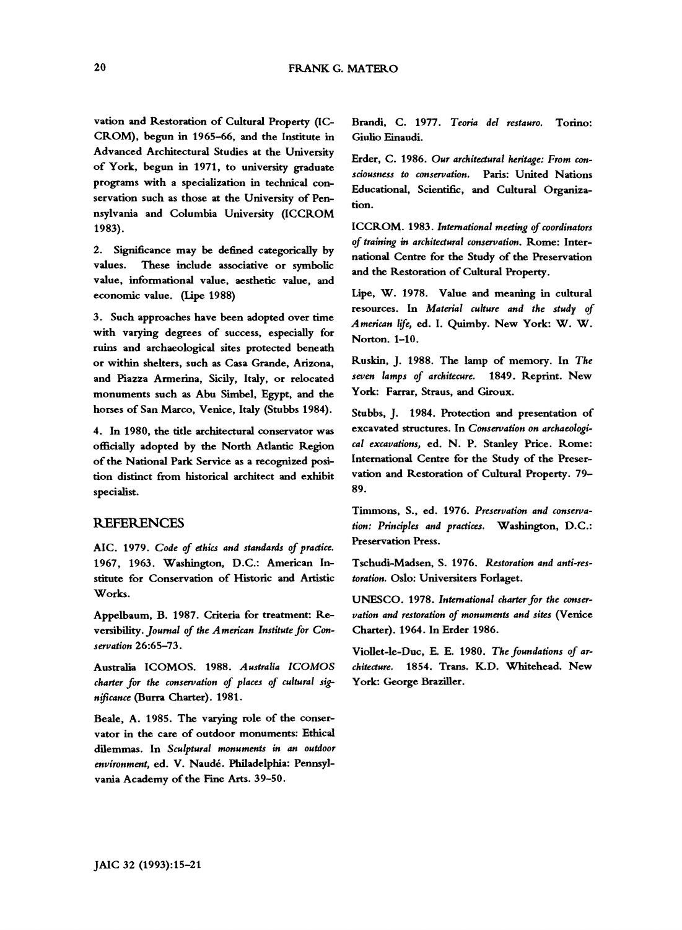vation and Restoration of Cultural Property (IC-CROM), begun in 1965-66, and the Institute in Advanced Architectural Studies at the University of York, begun in 1971, to university graduate programs with a specialization in technical conservation such as those at the University of Pennsylvania and Columbia University (ICCROM 1983).

2. Significance may be defined categorically by values. These include associative or symbolic value, informational value, aesthetic value, and economic value. (Lipe 1988)

3. Such approaches have been adopted over time with varying degrees of success, especially for ruins and archaeological sites protected beneath or within shelters, such as Casa Grande, Arizona, and Piazza Armerina, Sicily, Italy, or relocated monuments such as Abu Simbel, Egypt, and the horses of San Marco, Venice, Italy (Stubbs 1984).

4. In 1980, the title architectural conservator was officially adopted by the North Atlantic Region of the National Park Service as a recognized position distinct from historical architect and exhibit specialist.

#### REFERENCES

AIC. 1979. *Code* of *dhics and standards* of *pradice.* 1967, 1963. Washington, D.C.: American Institute for Conservation of Historic and Artistic Works.

Appelbaum, B. 1987. Criteria for treatment: Reversibility. *Journal* of *the A merican Institute for Conservation 26:65-73.*

Australia ICOMOS. 1988. *Australia ICOMOS charter for the conservation* of *places* of *cultural significance* (Burra Charter). 1981.

Beale, A. 1985. The varying role of the conservator in the care of outdoor monuments: Ethical dilemmas. In *Sculptural monuments in an outdoor environment,* ed. V. Naude. Philadelphia: Pennsylvania Academy of the Fine Arts. 39-50.

Brandi, C. 1977. *Teoria del restauro.* Torino: Giulio Einaudi.

Erder, C. 1986. *Our architectural heritage: From consciousness to conservation.* Paris: United Nations Educational, Scientific, and Cultural Organization.

ICCROM. 1983. *International meding* of *coordinators of training in architectural conservation.* Rome: International Centre for the Study of the Preservation and the Restoration of Cultural Property.

Lipe, W. 1978. Value and meaning in cultural resources. In *Material culture and the study* of *American life,* ed. I. Quimby. New York: W. W. Norton. 1-10.

Ruskin, J. 1988. The lamp of memory. In *The seven lamps* of *architecure.* 1849. Reprint. New York: Farrar, Straus, and Giroux.

Stubbs, J. 1984. Protection and presentation of excavated structures. In *Conservation on archaeological excavations,* ed. N. P. Stanley Price. Rome: International Centre for the Study of the Preservation and Restoration of Cultural Property. 79- 89.

Timmons, S., ed. 1976. *Preservation and conseroation: Principles and practices.* Washington, D.C.: Preservation Press.

Tschudi-Madsen, S. 1976. *Restoration and anti-restoration.* Oslo: Universiters Forlaget.

UNESCO. 1978. *International charter for the conservation and restoration of monuments and sites* (Venice Charter). 1964. In Erder 1986.

Viollet-le-Duc, E. E. 1980. *The foundations of architecture.* 1854. Trans. K.D. Whitehead. New York: George Braziller.